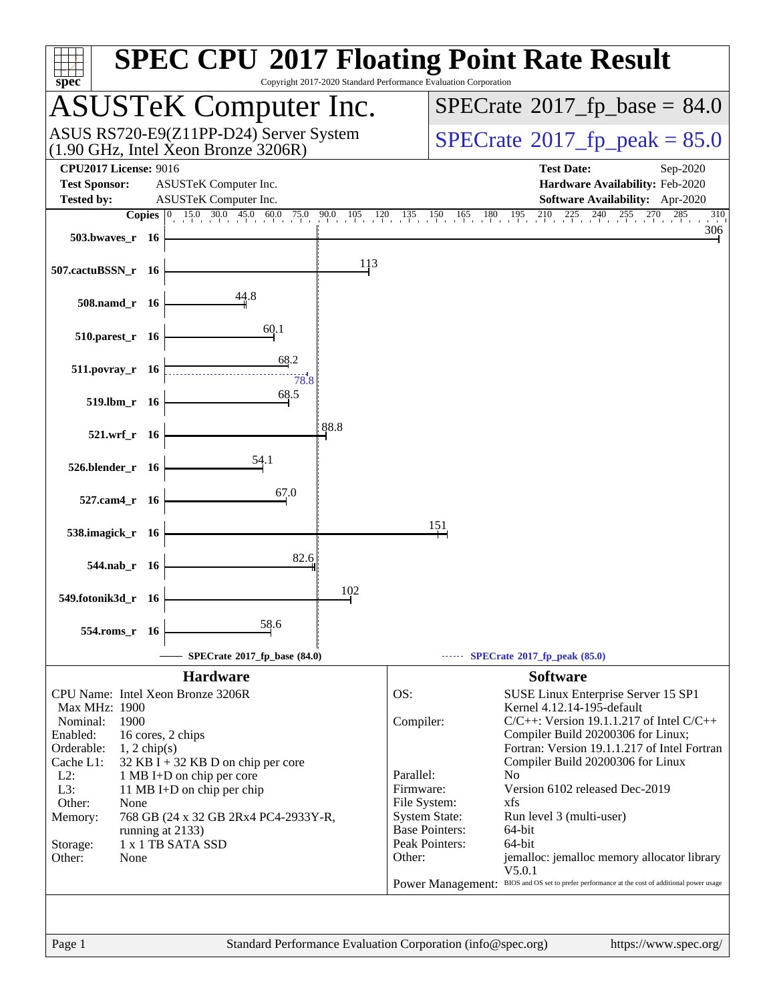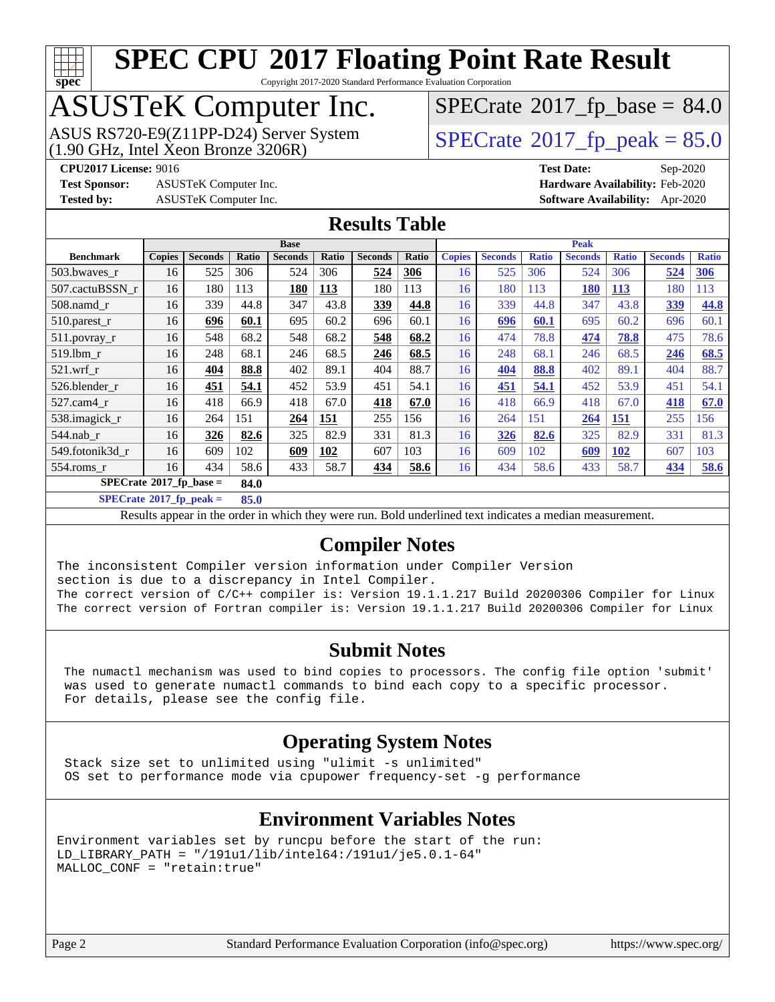

Copyright 2017-2020 Standard Performance Evaluation Corporation

## ASUSTeK Computer Inc.

ASUS RS720-E9(Z11PP-D24) Server System<br>(1.90 GHz, Intel Xeon Bronze 3206R)

 $SPECTate@2017_fp\_base = 84.0$ 

#### $SPECTate@2017_fp\_peak = 85.0$

**[Test Sponsor:](http://www.spec.org/auto/cpu2017/Docs/result-fields.html#TestSponsor)** ASUSTeK Computer Inc. **[Hardware Availability:](http://www.spec.org/auto/cpu2017/Docs/result-fields.html#HardwareAvailability)** Feb-2020

**[CPU2017 License:](http://www.spec.org/auto/cpu2017/Docs/result-fields.html#CPU2017License)** 9016 **[Test Date:](http://www.spec.org/auto/cpu2017/Docs/result-fields.html#TestDate)** Sep-2020 **[Tested by:](http://www.spec.org/auto/cpu2017/Docs/result-fields.html#Testedby)** ASUSTeK Computer Inc. **[Software Availability:](http://www.spec.org/auto/cpu2017/Docs/result-fields.html#SoftwareAvailability)** Apr-2020

#### **[Results Table](http://www.spec.org/auto/cpu2017/Docs/result-fields.html#ResultsTable)**

|                                    | <b>Base</b>   |                |       |                | <b>Peak</b> |                |       |               |                |              |                |              |                |              |
|------------------------------------|---------------|----------------|-------|----------------|-------------|----------------|-------|---------------|----------------|--------------|----------------|--------------|----------------|--------------|
| <b>Benchmark</b>                   | <b>Copies</b> | <b>Seconds</b> | Ratio | <b>Seconds</b> | Ratio       | <b>Seconds</b> | Ratio | <b>Copies</b> | <b>Seconds</b> | <b>Ratio</b> | <b>Seconds</b> | <b>Ratio</b> | <b>Seconds</b> | <b>Ratio</b> |
| 503.bwayes_r                       | 16            | 525            | 306   | 524            | 306         | 524            | 306   | 16            | 525            | 306          | 524            | 306          | 524            | 306          |
| 507.cactuBSSN r                    | 16            | 180            | 113   | 180            | <b>113</b>  | 180            | 113   | 16            | 180            | 113          | <b>180</b>     | <b>113</b>   | 180            | 113          |
| $508$ .namd $r$                    | 16            | 339            | 44.8  | 347            | 43.8        | 339            | 44.8  | 16            | 339            | 44.8         | 347            | 43.8         | 339            | 44.8         |
| 510.parest_r                       | 16            | 696            | 60.1  | 695            | 60.2        | 696            | 60.1  | 16            | 696            | 60.1         | 695            | 60.2         | 696            | 60.1         |
| 511.povray_r                       | 16            | 548            | 68.2  | 548            | 68.2        | 548            | 68.2  | 16            | 474            | 78.8         | 474            | 78.8         | 475            | 78.6         |
| 519.lbm r                          | 16            | 248            | 68.1  | 246            | 68.5        | 246            | 68.5  | 16            | 248            | 68.1         | 246            | 68.5         | 246            | 68.5         |
| $521$ .wrf r                       | 16            | 404            | 88.8  | 402            | 89.1        | 404            | 88.7  | 16            | 404            | 88.8         | 402            | 89.1         | 404            | 88.7         |
| 526.blender_r                      | 16            | 451            | 54.1  | 452            | 53.9        | 451            | 54.1  | 16            | 451            | 54.1         | 452            | 53.9         | 451            | 54.1         |
| 527.cam4 r                         | 16            | 418            | 66.9  | 418            | 67.0        | 418            | 67.0  | 16            | 418            | 66.9         | 418            | 67.0         | 418            | 67.0         |
| 538.imagick_r                      | 16            | 264            | 151   | 264            | 151         | 255            | 156   | 16            | 264            | 151          | 264            | <b>151</b>   | 255            | 156          |
| $544$ .nab_r                       | 16            | 326            | 82.6  | 325            | 82.9        | 331            | 81.3  | 16            | 326            | 82.6         | 325            | 82.9         | 331            | 81.3         |
| 549.fotonik3d r                    | 16            | 609            | 102   | 609            | 102         | 607            | 103   | 16            | 609            | 102          | 609            | <b>102</b>   | 607            | 103          |
| 554.roms r                         | 16            | 434            | 58.6  | 433            | 58.7        | 434            | 58.6  | 16            | 434            | 58.6         | 433            | 58.7         | 434            | 58.6         |
| $SPECrate^{\otimes}2017$ fp base = |               |                | 84.0  |                |             |                |       |               |                |              |                |              |                |              |

**[SPECrate](http://www.spec.org/auto/cpu2017/Docs/result-fields.html#SPECrate2017fppeak)[2017\\_fp\\_peak =](http://www.spec.org/auto/cpu2017/Docs/result-fields.html#SPECrate2017fppeak) 85.0**

Results appear in the [order in which they were run.](http://www.spec.org/auto/cpu2017/Docs/result-fields.html#RunOrder) Bold underlined text [indicates a median measurement.](http://www.spec.org/auto/cpu2017/Docs/result-fields.html#Median)

#### **[Compiler Notes](http://www.spec.org/auto/cpu2017/Docs/result-fields.html#CompilerNotes)**

The inconsistent Compiler version information under Compiler Version section is due to a discrepancy in Intel Compiler. The correct version of C/C++ compiler is: Version 19.1.1.217 Build 20200306 Compiler for Linux

The correct version of Fortran compiler is: Version 19.1.1.217 Build 20200306 Compiler for Linux

#### **[Submit Notes](http://www.spec.org/auto/cpu2017/Docs/result-fields.html#SubmitNotes)**

 The numactl mechanism was used to bind copies to processors. The config file option 'submit' was used to generate numactl commands to bind each copy to a specific processor. For details, please see the config file.

#### **[Operating System Notes](http://www.spec.org/auto/cpu2017/Docs/result-fields.html#OperatingSystemNotes)**

 Stack size set to unlimited using "ulimit -s unlimited" OS set to performance mode via cpupower frequency-set -g performance

#### **[Environment Variables Notes](http://www.spec.org/auto/cpu2017/Docs/result-fields.html#EnvironmentVariablesNotes)**

```
Environment variables set by runcpu before the start of the run:
LD_LIBRARY_PATH = "/191u1/lib/intel64:/191u1/je5.0.1-64"
MALLOC_CONF = "retain:true"
```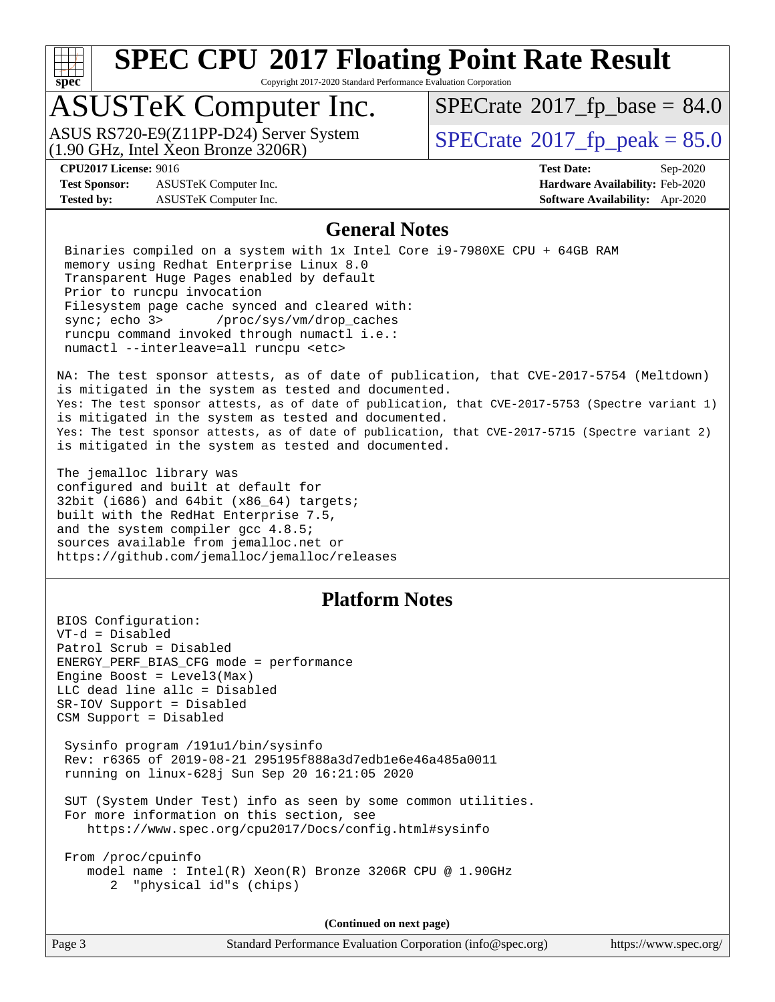

Copyright 2017-2020 Standard Performance Evaluation Corporation

## ASUSTeK Computer Inc.

(1.90 GHz, Intel Xeon Bronze 3206R) ASUS RS720-E9(Z11PP-D24) Server System  $\boxed{\text{SPECrate}^{\circ}2017\_fp\_peak = 85.0}$  $\boxed{\text{SPECrate}^{\circ}2017\_fp\_peak = 85.0}$  $\boxed{\text{SPECrate}^{\circ}2017\_fp\_peak = 85.0}$ 

 $SPECTate@2017_fp\_base = 84.0$ 

**[Test Sponsor:](http://www.spec.org/auto/cpu2017/Docs/result-fields.html#TestSponsor)** ASUSTeK Computer Inc. **[Hardware Availability:](http://www.spec.org/auto/cpu2017/Docs/result-fields.html#HardwareAvailability)** Feb-2020 **[Tested by:](http://www.spec.org/auto/cpu2017/Docs/result-fields.html#Testedby)** ASUSTeK Computer Inc. **[Software Availability:](http://www.spec.org/auto/cpu2017/Docs/result-fields.html#SoftwareAvailability)** Apr-2020

**[CPU2017 License:](http://www.spec.org/auto/cpu2017/Docs/result-fields.html#CPU2017License)** 9016 **[Test Date:](http://www.spec.org/auto/cpu2017/Docs/result-fields.html#TestDate)** Sep-2020

#### **[General Notes](http://www.spec.org/auto/cpu2017/Docs/result-fields.html#GeneralNotes)**

 Binaries compiled on a system with 1x Intel Core i9-7980XE CPU + 64GB RAM memory using Redhat Enterprise Linux 8.0 Transparent Huge Pages enabled by default Prior to runcpu invocation Filesystem page cache synced and cleared with: sync; echo 3> /proc/sys/vm/drop\_caches runcpu command invoked through numactl i.e.: numactl --interleave=all runcpu <etc>

NA: The test sponsor attests, as of date of publication, that CVE-2017-5754 (Meltdown) is mitigated in the system as tested and documented. Yes: The test sponsor attests, as of date of publication, that CVE-2017-5753 (Spectre variant 1) is mitigated in the system as tested and documented. Yes: The test sponsor attests, as of date of publication, that CVE-2017-5715 (Spectre variant 2) is mitigated in the system as tested and documented.

The jemalloc library was configured and built at default for 32bit (i686) and 64bit (x86\_64) targets; built with the RedHat Enterprise 7.5, and the system compiler gcc 4.8.5; sources available from jemalloc.net or <https://github.com/jemalloc/jemalloc/releases>

#### **[Platform Notes](http://www.spec.org/auto/cpu2017/Docs/result-fields.html#PlatformNotes)**

BIOS Configuration: VT-d = Disabled Patrol Scrub = Disabled ENERGY\_PERF\_BIAS\_CFG mode = performance Engine Boost =  $Level3(Max)$ LLC dead line allc = Disabled SR-IOV Support = Disabled CSM Support = Disabled

 Sysinfo program /191u1/bin/sysinfo Rev: r6365 of 2019-08-21 295195f888a3d7edb1e6e46a485a0011 running on linux-628j Sun Sep 20 16:21:05 2020

 SUT (System Under Test) info as seen by some common utilities. For more information on this section, see <https://www.spec.org/cpu2017/Docs/config.html#sysinfo>

 From /proc/cpuinfo model name : Intel(R) Xeon(R) Bronze 3206R CPU @ 1.90GHz 2 "physical id"s (chips)

**(Continued on next page)**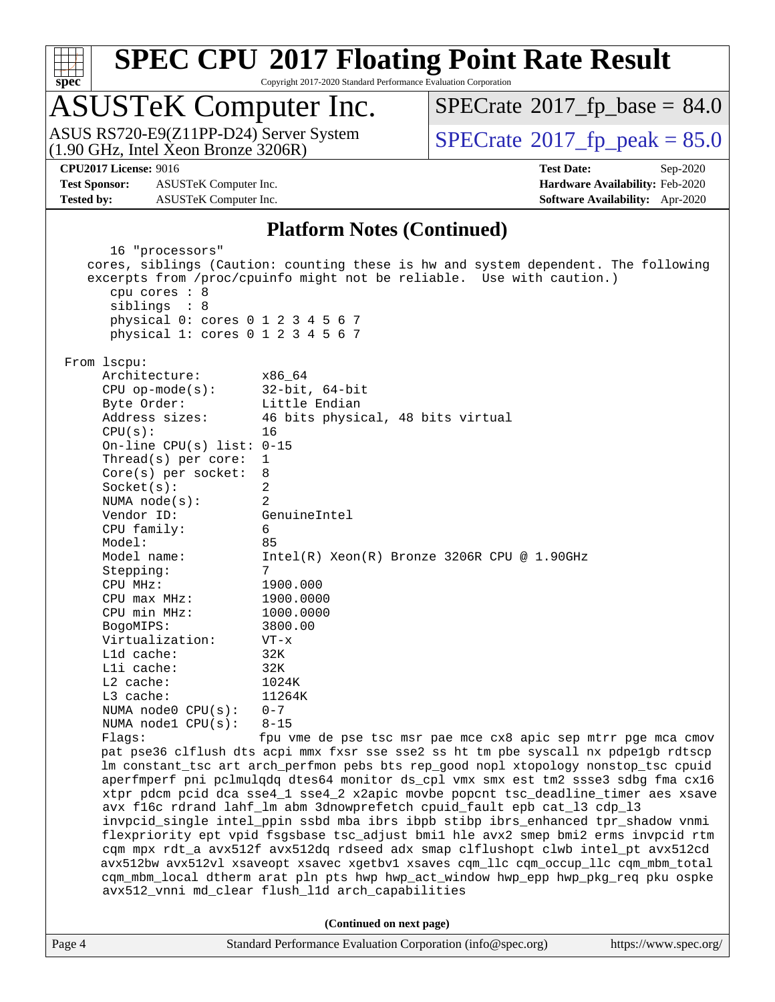

Copyright 2017-2020 Standard Performance Evaluation Corporation

## ASUSTeK Computer Inc.

(1.90 GHz, Intel Xeon Bronze 3206R) ASUS RS720-E9(Z11PP-D24) Server System  $\vert$  [SPECrate](http://www.spec.org/auto/cpu2017/Docs/result-fields.html#SPECrate2017fppeak)®[2017\\_fp\\_peak = 8](http://www.spec.org/auto/cpu2017/Docs/result-fields.html#SPECrate2017fppeak)5.0

 $SPECTate@2017_fp\_base = 84.0$ 

**[Test Sponsor:](http://www.spec.org/auto/cpu2017/Docs/result-fields.html#TestSponsor)** ASUSTeK Computer Inc. **[Hardware Availability:](http://www.spec.org/auto/cpu2017/Docs/result-fields.html#HardwareAvailability)** Feb-2020 **[Tested by:](http://www.spec.org/auto/cpu2017/Docs/result-fields.html#Testedby)** ASUSTeK Computer Inc. **[Software Availability:](http://www.spec.org/auto/cpu2017/Docs/result-fields.html#SoftwareAvailability)** Apr-2020

**[CPU2017 License:](http://www.spec.org/auto/cpu2017/Docs/result-fields.html#CPU2017License)** 9016 **[Test Date:](http://www.spec.org/auto/cpu2017/Docs/result-fields.html#TestDate)** Sep-2020

#### **[Platform Notes \(Continued\)](http://www.spec.org/auto/cpu2017/Docs/result-fields.html#PlatformNotes)**

 16 "processors" cores, siblings (Caution: counting these is hw and system dependent. The following excerpts from /proc/cpuinfo might not be reliable. Use with caution.) cpu cores : 8 siblings : 8 physical 0: cores 0 1 2 3 4 5 6 7 physical 1: cores 0 1 2 3 4 5 6 7 From lscpu: Architecture: x86\_64 CPU op-mode(s): 32-bit, 64-bit Byte Order: Little Endian Address sizes: 46 bits physical, 48 bits virtual CPU(s): 16 On-line CPU(s) list: 0-15 Thread(s) per core: 1 Core(s) per socket: 8 Socket(s): 2 NUMA node(s): 2 Vendor ID: GenuineIntel CPU family: 6 Model: 85 Model name: Intel(R) Xeon(R) Bronze 3206R CPU @ 1.90GHz Stepping: 7 CPU MHz: 1900.000 CPU max MHz: 1900.0000 CPU min MHz: 1000.0000 BogoMIPS: 3800.00 Virtualization: VT-x L1d cache: 32K L1i cache: 32K L2 cache: 1024K<br>
L3 cache: 11264K  $L3$  cache: NUMA node0 CPU(s): 0-7 NUMA node1 CPU(s): 8-15 Flags: fpu vme de pse tsc msr pae mce cx8 apic sep mtrr pge mca cmov pat pse36 clflush dts acpi mmx fxsr sse sse2 ss ht tm pbe syscall nx pdpe1gb rdtscp lm constant\_tsc art arch\_perfmon pebs bts rep\_good nopl xtopology nonstop\_tsc cpuid aperfmperf pni pclmulqdq dtes64 monitor ds\_cpl vmx smx est tm2 ssse3 sdbg fma cx16 xtpr pdcm pcid dca sse4\_1 sse4\_2 x2apic movbe popcnt tsc\_deadline\_timer aes xsave avx f16c rdrand lahf\_lm abm 3dnowprefetch cpuid\_fault epb cat\_l3 cdp\_l3 invpcid\_single intel\_ppin ssbd mba ibrs ibpb stibp ibrs\_enhanced tpr\_shadow vnmi flexpriority ept vpid fsgsbase tsc\_adjust bmi1 hle avx2 smep bmi2 erms invpcid rtm cqm mpx rdt\_a avx512f avx512dq rdseed adx smap clflushopt clwb intel\_pt avx512cd avx512bw avx512vl xsaveopt xsavec xgetbv1 xsaves cqm\_llc cqm\_occup\_llc cqm\_mbm\_total cqm\_mbm\_local dtherm arat pln pts hwp hwp\_act\_window hwp\_epp hwp\_pkg\_req pku ospke avx512\_vnni md\_clear flush\_l1d arch\_capabilities **(Continued on next page)**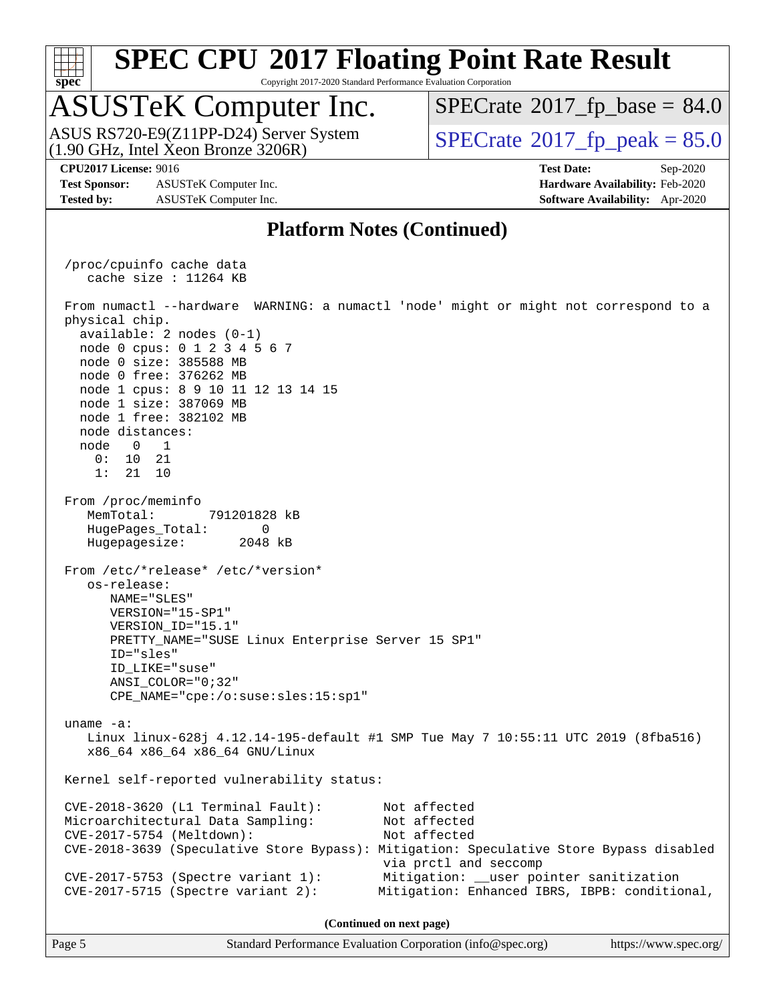

Copyright 2017-2020 Standard Performance Evaluation Corporation

### ASUSTeK Computer Inc.

(1.90 GHz, Intel Xeon Bronze 3206R) ASUS RS720-E9(Z11PP-D24) Server System  $\sqrt{\text{SPECrate}^{\otimes}2017\_fp\_peak} = 85.0$  $\sqrt{\text{SPECrate}^{\otimes}2017\_fp\_peak} = 85.0$  $\sqrt{\text{SPECrate}^{\otimes}2017\_fp\_peak} = 85.0$ 

 $SPECTate@2017_fp\_base = 84.0$ 

**[Test Sponsor:](http://www.spec.org/auto/cpu2017/Docs/result-fields.html#TestSponsor)** ASUSTeK Computer Inc. **[Hardware Availability:](http://www.spec.org/auto/cpu2017/Docs/result-fields.html#HardwareAvailability)** Feb-2020 **[Tested by:](http://www.spec.org/auto/cpu2017/Docs/result-fields.html#Testedby)** ASUSTeK Computer Inc. **[Software Availability:](http://www.spec.org/auto/cpu2017/Docs/result-fields.html#SoftwareAvailability)** Apr-2020

**[CPU2017 License:](http://www.spec.org/auto/cpu2017/Docs/result-fields.html#CPU2017License)** 9016 **[Test Date:](http://www.spec.org/auto/cpu2017/Docs/result-fields.html#TestDate)** Sep-2020

#### **[Platform Notes \(Continued\)](http://www.spec.org/auto/cpu2017/Docs/result-fields.html#PlatformNotes)**

 /proc/cpuinfo cache data cache size : 11264 KB From numactl --hardware WARNING: a numactl 'node' might or might not correspond to a physical chip. available: 2 nodes (0-1) node 0 cpus: 0 1 2 3 4 5 6 7 node 0 size: 385588 MB node 0 free: 376262 MB node 1 cpus: 8 9 10 11 12 13 14 15 node 1 size: 387069 MB node 1 free: 382102 MB node distances: node 0 1 0: 10 21 1: 21 10 From /proc/meminfo MemTotal: 791201828 kB HugePages\_Total: 0 Hugepagesize: 2048 kB From /etc/\*release\* /etc/\*version\* os-release: NAME="SLES" VERSION="15-SP1" VERSION\_ID="15.1" PRETTY\_NAME="SUSE Linux Enterprise Server 15 SP1" ID="sles" ID\_LIKE="suse" ANSI\_COLOR="0;32" CPE\_NAME="cpe:/o:suse:sles:15:sp1" uname -a: Linux linux-628j 4.12.14-195-default #1 SMP Tue May 7 10:55:11 UTC 2019 (8fba516) x86\_64 x86\_64 x86\_64 GNU/Linux Kernel self-reported vulnerability status: CVE-2018-3620 (L1 Terminal Fault): Not affected Microarchitectural Data Sampling: Not affected CVE-2017-5754 (Meltdown): Not affected CVE-2018-3639 (Speculative Store Bypass): Mitigation: Speculative Store Bypass disabled via prctl and seccomp CVE-2017-5753 (Spectre variant 1): Mitigation: \_\_user pointer sanitization CVE-2017-5715 (Spectre variant 2): Mitigation: Enhanced IBRS, IBPB: conditional, **(Continued on next page)**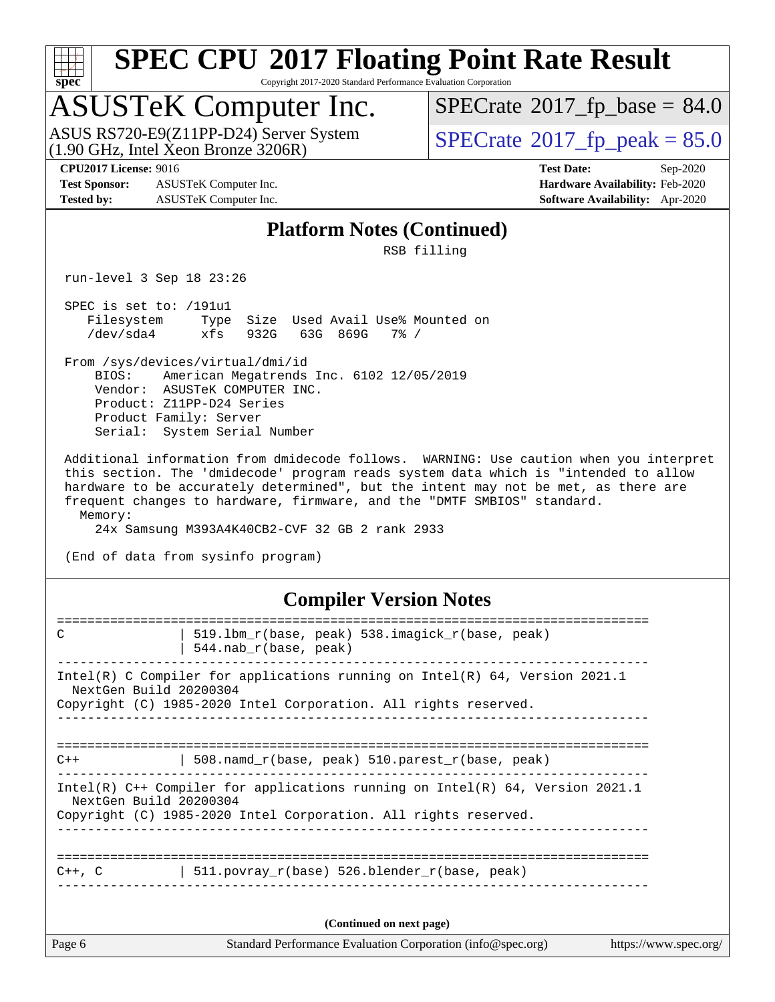

Copyright 2017-2020 Standard Performance Evaluation Corporation

## ASUSTeK Computer Inc.

 $(1.90 \text{ GHz}, \text{Intel } \hat{\text{X}}$ eon Bronze 3206R) ASUS RS720-E9(Z11PP-D24) Server System  $\boxed{\text{SPECrate}^{\circ}2017\_fp\_peak = 85.0}$  $\boxed{\text{SPECrate}^{\circ}2017\_fp\_peak = 85.0}$  $\boxed{\text{SPECrate}^{\circ}2017\_fp\_peak = 85.0}$ 

 $SPECTate@2017_fp\_base = 84.0$ 

**[Test Sponsor:](http://www.spec.org/auto/cpu2017/Docs/result-fields.html#TestSponsor)** ASUSTeK Computer Inc. **[Hardware Availability:](http://www.spec.org/auto/cpu2017/Docs/result-fields.html#HardwareAvailability)** Feb-2020 **[Tested by:](http://www.spec.org/auto/cpu2017/Docs/result-fields.html#Testedby)** ASUSTeK Computer Inc. **[Software Availability:](http://www.spec.org/auto/cpu2017/Docs/result-fields.html#SoftwareAvailability)** Apr-2020

**[CPU2017 License:](http://www.spec.org/auto/cpu2017/Docs/result-fields.html#CPU2017License)** 9016 **[Test Date:](http://www.spec.org/auto/cpu2017/Docs/result-fields.html#TestDate)** Sep-2020

#### **[Platform Notes \(Continued\)](http://www.spec.org/auto/cpu2017/Docs/result-fields.html#PlatformNotes)**

RSB filling

run-level 3 Sep 18 23:26

 SPEC is set to: /191u1 Filesystem Type Size Used Avail Use% Mounted on /dev/sda4 xfs 932G 63G 869G 7% /

 From /sys/devices/virtual/dmi/id BIOS: American Megatrends Inc. 6102 12/05/2019 Vendor: ASUSTeK COMPUTER INC. Product: Z11PP-D24 Series Product Family: Server Serial: System Serial Number

 Additional information from dmidecode follows. WARNING: Use caution when you interpret this section. The 'dmidecode' program reads system data which is "intended to allow hardware to be accurately determined", but the intent may not be met, as there are frequent changes to hardware, firmware, and the "DMTF SMBIOS" standard. Memory:

24x Samsung M393A4K40CB2-CVF 32 GB 2 rank 2933

(End of data from sysinfo program)

#### **[Compiler Version Notes](http://www.spec.org/auto/cpu2017/Docs/result-fields.html#CompilerVersionNotes)**

| Page 6      | Standard Performance Evaluation Corporation (info@spec.org)                                                                                                                  | https://www.spec.org/ |
|-------------|------------------------------------------------------------------------------------------------------------------------------------------------------------------------------|-----------------------|
|             | (Continued on next page)                                                                                                                                                     |                       |
| $C++$ , $C$ | 511. povray $r(base)$ 526. blender $r(base, peak)$                                                                                                                           |                       |
|             | Intel(R) $C++$ Compiler for applications running on Intel(R) 64, Version 2021.1<br>NextGen Build 20200304<br>Copyright (C) 1985-2020 Intel Corporation. All rights reserved. |                       |
| $C++$       | 508. namd $r(base, peak)$ 510. parest $r(base, peak)$                                                                                                                        |                       |
|             | Intel(R) C Compiler for applications running on Intel(R) $64$ , Version 2021.1<br>NextGen Build 20200304<br>Copyright (C) 1985-2020 Intel Corporation. All rights reserved.  |                       |
| C           | 519.1bm r(base, peak) 538.imagick r(base, peak)<br>$544.nab_r(base, peak)$                                                                                                   |                       |
|             |                                                                                                                                                                              |                       |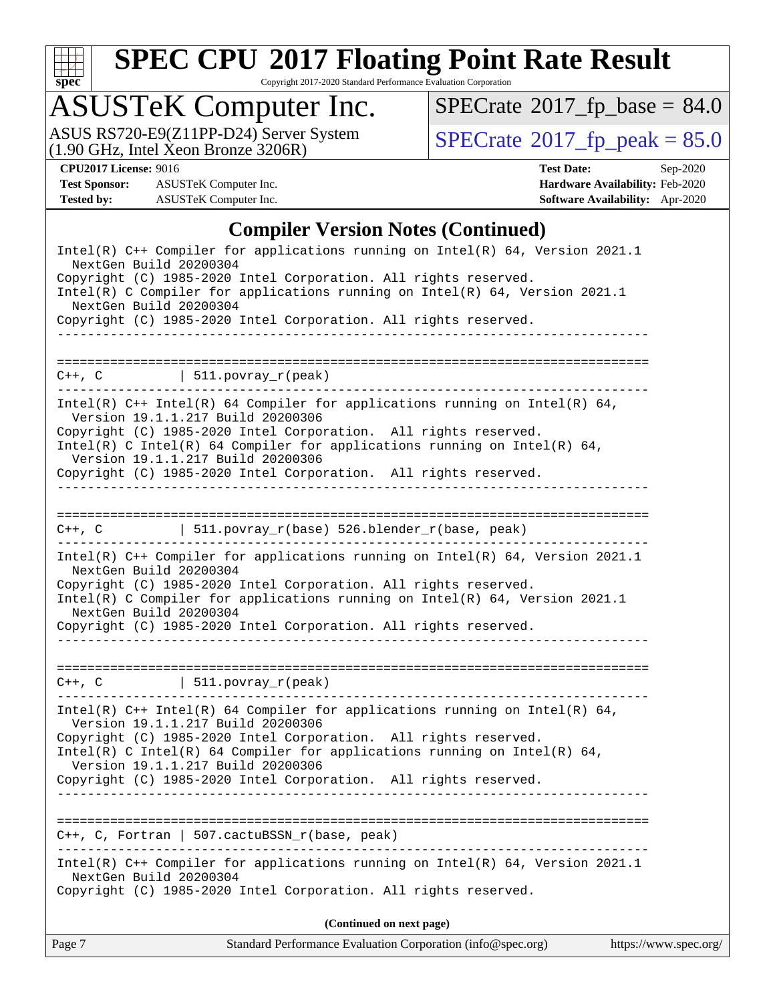

Copyright 2017-2020 Standard Performance Evaluation Corporation

# ASUSTeK Computer Inc.<br>ASUS RS720-E9(Z11PP-D24) Server System

(1.90 GHz, Intel Xeon Bronze 3206R)

 $SPECrate$ <sup>®</sup>[2017\\_fp\\_base =](http://www.spec.org/auto/cpu2017/Docs/result-fields.html#SPECrate2017fpbase) 84.0

 $SPECTate$ <sup>®</sup>[2017\\_fp\\_peak = 8](http://www.spec.org/auto/cpu2017/Docs/result-fields.html#SPECrate2017fppeak)5.0

**[Test Sponsor:](http://www.spec.org/auto/cpu2017/Docs/result-fields.html#TestSponsor)** ASUSTeK Computer Inc. **[Hardware Availability:](http://www.spec.org/auto/cpu2017/Docs/result-fields.html#HardwareAvailability)** Feb-2020 **[Tested by:](http://www.spec.org/auto/cpu2017/Docs/result-fields.html#Testedby)** ASUSTeK Computer Inc. **[Software Availability:](http://www.spec.org/auto/cpu2017/Docs/result-fields.html#SoftwareAvailability)** Apr-2020

**[CPU2017 License:](http://www.spec.org/auto/cpu2017/Docs/result-fields.html#CPU2017License)** 9016 **[Test Date:](http://www.spec.org/auto/cpu2017/Docs/result-fields.html#TestDate)** Sep-2020

#### **[Compiler Version Notes \(Continued\)](http://www.spec.org/auto/cpu2017/Docs/result-fields.html#CompilerVersionNotes)**

|                                                  | (Continued on next page)                                                                                                                                                                                                                                                                                                                                                 |  |
|--------------------------------------------------|--------------------------------------------------------------------------------------------------------------------------------------------------------------------------------------------------------------------------------------------------------------------------------------------------------------------------------------------------------------------------|--|
|                                                  |                                                                                                                                                                                                                                                                                                                                                                          |  |
| NextGen Build 20200304                           | Intel(R) C++ Compiler for applications running on Intel(R) $64$ , Version 2021.1<br>Copyright (C) 1985-2020 Intel Corporation. All rights reserved.                                                                                                                                                                                                                      |  |
|                                                  | $C++$ , C, Fortran   507. cactubs SN r(base, peak)                                                                                                                                                                                                                                                                                                                       |  |
|                                                  | Copyright (C) 1985-2020 Intel Corporation. All rights reserved.                                                                                                                                                                                                                                                                                                          |  |
|                                                  | Copyright (C) 1985-2020 Intel Corporation. All rights reserved.<br>Intel(R) C Intel(R) 64 Compiler for applications running on Intel(R) 64,<br>Version 19.1.1.217 Build 20200306                                                                                                                                                                                         |  |
|                                                  | Intel(R) $C++$ Intel(R) 64 Compiler for applications running on Intel(R) 64,<br>Version 19.1.1.217 Build 20200306                                                                                                                                                                                                                                                        |  |
|                                                  | $C++$ , C $\qquad \qquad \vert$ 511.povray_r(peak)                                                                                                                                                                                                                                                                                                                       |  |
| NextGen Build 20200304<br>NextGen Build 20200304 | Intel(R) C++ Compiler for applications running on Intel(R) $64$ , Version 2021.1<br>Copyright (C) 1985-2020 Intel Corporation. All rights reserved.<br>Intel(R) C Compiler for applications running on Intel(R) 64, Version 2021.1<br>Copyright (C) 1985-2020 Intel Corporation. All rights reserved.                                                                    |  |
|                                                  | C++, C $  511.povray_r(base) 526.blender_r(base, peak)$                                                                                                                                                                                                                                                                                                                  |  |
|                                                  |                                                                                                                                                                                                                                                                                                                                                                          |  |
|                                                  | Intel(R) $C++$ Intel(R) 64 Compiler for applications running on Intel(R) 64,<br>Version 19.1.1.217 Build 20200306<br>Copyright (C) 1985-2020 Intel Corporation. All rights reserved.<br>Intel(R) C Intel(R) 64 Compiler for applications running on Intel(R) 64,<br>Version 19.1.1.217 Build 20200306<br>Copyright (C) 1985-2020 Intel Corporation. All rights reserved. |  |
|                                                  | $C++$ , C   511.povray_r(peak)                                                                                                                                                                                                                                                                                                                                           |  |
|                                                  |                                                                                                                                                                                                                                                                                                                                                                          |  |
| NextGen Build 20200304                           | Copyright (C) 1985-2020 Intel Corporation. All rights reserved.                                                                                                                                                                                                                                                                                                          |  |
|                                                  | Intel(R) C Compiler for applications running on Intel(R) $64$ , Version 2021.1                                                                                                                                                                                                                                                                                           |  |
|                                                  | Copyright (C) 1985-2020 Intel Corporation. All rights reserved.                                                                                                                                                                                                                                                                                                          |  |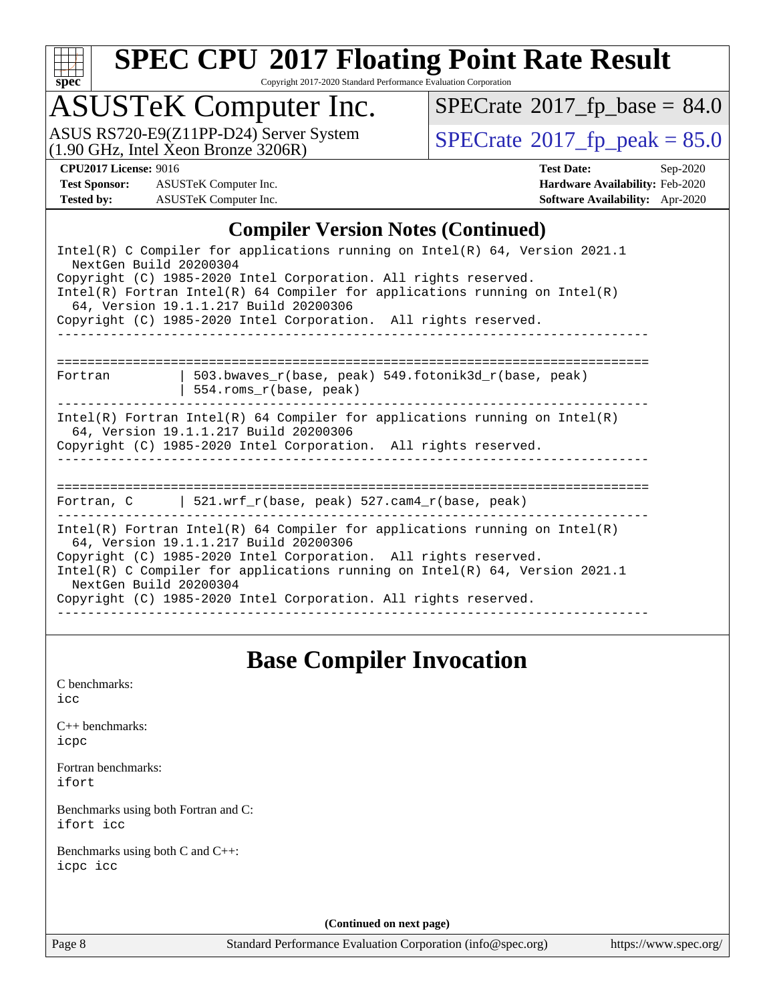

Copyright 2017-2020 Standard Performance Evaluation Corporation

## ASUSTeK Computer Inc.

ASUS RS720-E9(Z11PP-D24) Server System<br>(1.90 GHz, Intel Xeon Bronze 3206R)

 $SPECrate$ <sup>®</sup>[2017\\_fp\\_base =](http://www.spec.org/auto/cpu2017/Docs/result-fields.html#SPECrate2017fpbase) 84.0

 $SPECTate$ <sup>®</sup>[2017\\_fp\\_peak = 8](http://www.spec.org/auto/cpu2017/Docs/result-fields.html#SPECrate2017fppeak)5.0

**[Test Sponsor:](http://www.spec.org/auto/cpu2017/Docs/result-fields.html#TestSponsor)** ASUSTeK Computer Inc. **[Hardware Availability:](http://www.spec.org/auto/cpu2017/Docs/result-fields.html#HardwareAvailability)** Feb-2020 **[Tested by:](http://www.spec.org/auto/cpu2017/Docs/result-fields.html#Testedby)** ASUSTeK Computer Inc. **[Software Availability:](http://www.spec.org/auto/cpu2017/Docs/result-fields.html#SoftwareAvailability)** Apr-2020

**[CPU2017 License:](http://www.spec.org/auto/cpu2017/Docs/result-fields.html#CPU2017License)** 9016 **[Test Date:](http://www.spec.org/auto/cpu2017/Docs/result-fields.html#TestDate)** Sep-2020

#### **[Compiler Version Notes \(Continued\)](http://www.spec.org/auto/cpu2017/Docs/result-fields.html#CompilerVersionNotes)**

| Intel(R) C Compiler for applications running on Intel(R) 64, Version 2021.1<br>NextGen Build 20200304                                                                                                                                                                                                                                                              |
|--------------------------------------------------------------------------------------------------------------------------------------------------------------------------------------------------------------------------------------------------------------------------------------------------------------------------------------------------------------------|
| Copyright (C) 1985-2020 Intel Corporation. All rights reserved.<br>$Intel(R)$ Fortran Intel(R) 64 Compiler for applications running on Intel(R)<br>64, Version 19.1.1.217 Build 20200306                                                                                                                                                                           |
| Copyright (C) 1985-2020 Intel Corporation. All rights reserved.                                                                                                                                                                                                                                                                                                    |
| 503.bwaves_r(base, peak) 549.fotonik3d_r(base, peak)<br>Fortran<br>$554.rows_r(base, peak)$                                                                                                                                                                                                                                                                        |
| Intel(R) Fortran Intel(R) 64 Compiler for applications running on Intel(R)<br>64, Version 19.1.1.217 Build 20200306<br>Copyright (C) 1985-2020 Intel Corporation. All rights reserved.                                                                                                                                                                             |
| Fortran, C $\vert$ 521.wrf r(base, peak) 527.cam4 r(base, peak)                                                                                                                                                                                                                                                                                                    |
| Intel(R) Fortran Intel(R) 64 Compiler for applications running on Intel(R)<br>64, Version 19.1.1.217 Build 20200306<br>Copyright (C) 1985-2020 Intel Corporation. All rights reserved.<br>Intel(R) C Compiler for applications running on Intel(R) 64, Version 2021.1<br>NextGen Build 20200304<br>Copyright (C) 1985-2020 Intel Corporation. All rights reserved. |
|                                                                                                                                                                                                                                                                                                                                                                    |

#### **[Base Compiler Invocation](http://www.spec.org/auto/cpu2017/Docs/result-fields.html#BaseCompilerInvocation)**

[C benchmarks](http://www.spec.org/auto/cpu2017/Docs/result-fields.html#Cbenchmarks): [icc](http://www.spec.org/cpu2017/results/res2020q4/cpu2017-20200925-24015.flags.html#user_CCbase_intel_icc_66fc1ee009f7361af1fbd72ca7dcefbb700085f36577c54f309893dd4ec40d12360134090235512931783d35fd58c0460139e722d5067c5574d8eaf2b3e37e92)

[C++ benchmarks:](http://www.spec.org/auto/cpu2017/Docs/result-fields.html#CXXbenchmarks) [icpc](http://www.spec.org/cpu2017/results/res2020q4/cpu2017-20200925-24015.flags.html#user_CXXbase_intel_icpc_c510b6838c7f56d33e37e94d029a35b4a7bccf4766a728ee175e80a419847e808290a9b78be685c44ab727ea267ec2f070ec5dc83b407c0218cded6866a35d07)

[Fortran benchmarks](http://www.spec.org/auto/cpu2017/Docs/result-fields.html#Fortranbenchmarks): [ifort](http://www.spec.org/cpu2017/results/res2020q4/cpu2017-20200925-24015.flags.html#user_FCbase_intel_ifort_8111460550e3ca792625aed983ce982f94888b8b503583aa7ba2b8303487b4d8a21a13e7191a45c5fd58ff318f48f9492884d4413fa793fd88dd292cad7027ca)

[Benchmarks using both Fortran and C](http://www.spec.org/auto/cpu2017/Docs/result-fields.html#BenchmarksusingbothFortranandC): [ifort](http://www.spec.org/cpu2017/results/res2020q4/cpu2017-20200925-24015.flags.html#user_CC_FCbase_intel_ifort_8111460550e3ca792625aed983ce982f94888b8b503583aa7ba2b8303487b4d8a21a13e7191a45c5fd58ff318f48f9492884d4413fa793fd88dd292cad7027ca) [icc](http://www.spec.org/cpu2017/results/res2020q4/cpu2017-20200925-24015.flags.html#user_CC_FCbase_intel_icc_66fc1ee009f7361af1fbd72ca7dcefbb700085f36577c54f309893dd4ec40d12360134090235512931783d35fd58c0460139e722d5067c5574d8eaf2b3e37e92)

[Benchmarks using both C and C++](http://www.spec.org/auto/cpu2017/Docs/result-fields.html#BenchmarksusingbothCandCXX): [icpc](http://www.spec.org/cpu2017/results/res2020q4/cpu2017-20200925-24015.flags.html#user_CC_CXXbase_intel_icpc_c510b6838c7f56d33e37e94d029a35b4a7bccf4766a728ee175e80a419847e808290a9b78be685c44ab727ea267ec2f070ec5dc83b407c0218cded6866a35d07) [icc](http://www.spec.org/cpu2017/results/res2020q4/cpu2017-20200925-24015.flags.html#user_CC_CXXbase_intel_icc_66fc1ee009f7361af1fbd72ca7dcefbb700085f36577c54f309893dd4ec40d12360134090235512931783d35fd58c0460139e722d5067c5574d8eaf2b3e37e92)

**(Continued on next page)**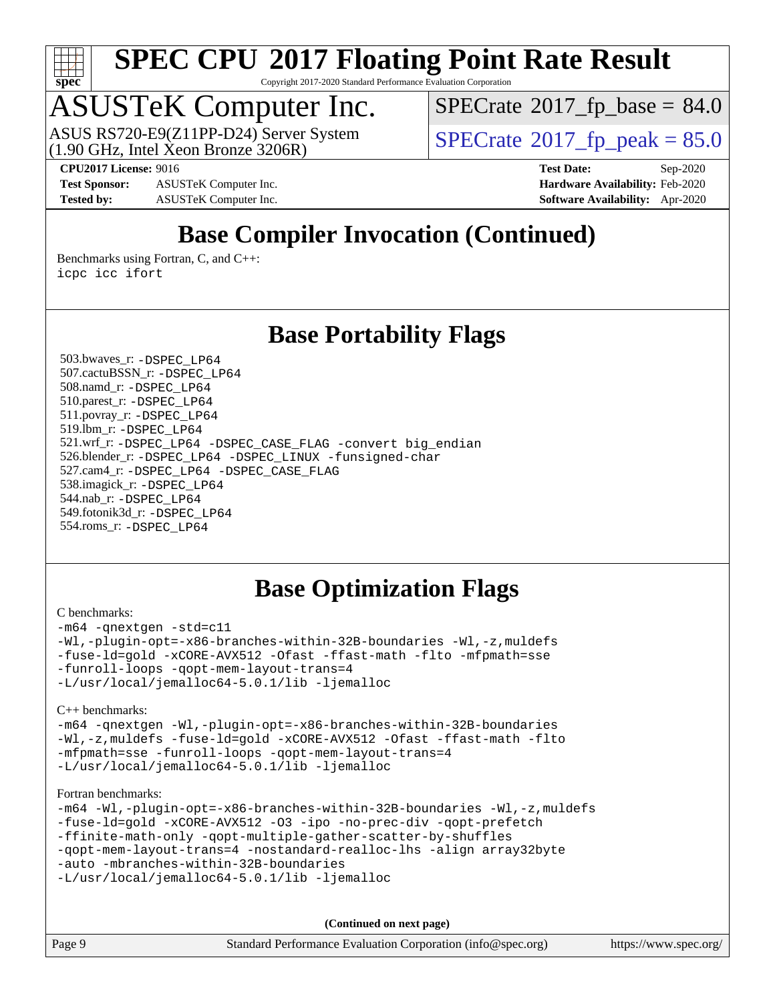

Copyright 2017-2020 Standard Performance Evaluation Corporation

# ASUSTeK Computer Inc.<br>ASUS RS720-E9(Z11PP-D24) Server System

(1.90 GHz, Intel Xeon Bronze 3206R)

 $SPECTate@2017_fp\_base = 84.0$ 

**[Test Sponsor:](http://www.spec.org/auto/cpu2017/Docs/result-fields.html#TestSponsor)** ASUSTeK Computer Inc. **[Hardware Availability:](http://www.spec.org/auto/cpu2017/Docs/result-fields.html#HardwareAvailability)** Feb-2020 **[Tested by:](http://www.spec.org/auto/cpu2017/Docs/result-fields.html#Testedby)** ASUSTeK Computer Inc. **[Software Availability:](http://www.spec.org/auto/cpu2017/Docs/result-fields.html#SoftwareAvailability)** Apr-2020

 $SPECrate<sup>®</sup>2017_fp_peak = 85.0$  $SPECrate<sup>®</sup>2017_fp_peak = 85.0$  $SPECrate<sup>®</sup>2017_fp_peak = 85.0$  $SPECrate<sup>®</sup>2017_fp_peak = 85.0$ 

**[CPU2017 License:](http://www.spec.org/auto/cpu2017/Docs/result-fields.html#CPU2017License)** 9016 **[Test Date:](http://www.spec.org/auto/cpu2017/Docs/result-fields.html#TestDate)** Sep-2020

### **[Base Compiler Invocation \(Continued\)](http://www.spec.org/auto/cpu2017/Docs/result-fields.html#BaseCompilerInvocation)**

[Benchmarks using Fortran, C, and C++:](http://www.spec.org/auto/cpu2017/Docs/result-fields.html#BenchmarksusingFortranCandCXX) [icpc](http://www.spec.org/cpu2017/results/res2020q4/cpu2017-20200925-24015.flags.html#user_CC_CXX_FCbase_intel_icpc_c510b6838c7f56d33e37e94d029a35b4a7bccf4766a728ee175e80a419847e808290a9b78be685c44ab727ea267ec2f070ec5dc83b407c0218cded6866a35d07) [icc](http://www.spec.org/cpu2017/results/res2020q4/cpu2017-20200925-24015.flags.html#user_CC_CXX_FCbase_intel_icc_66fc1ee009f7361af1fbd72ca7dcefbb700085f36577c54f309893dd4ec40d12360134090235512931783d35fd58c0460139e722d5067c5574d8eaf2b3e37e92) [ifort](http://www.spec.org/cpu2017/results/res2020q4/cpu2017-20200925-24015.flags.html#user_CC_CXX_FCbase_intel_ifort_8111460550e3ca792625aed983ce982f94888b8b503583aa7ba2b8303487b4d8a21a13e7191a45c5fd58ff318f48f9492884d4413fa793fd88dd292cad7027ca)

#### **[Base Portability Flags](http://www.spec.org/auto/cpu2017/Docs/result-fields.html#BasePortabilityFlags)**

 503.bwaves\_r: [-DSPEC\\_LP64](http://www.spec.org/cpu2017/results/res2020q4/cpu2017-20200925-24015.flags.html#suite_basePORTABILITY503_bwaves_r_DSPEC_LP64) 507.cactuBSSN\_r: [-DSPEC\\_LP64](http://www.spec.org/cpu2017/results/res2020q4/cpu2017-20200925-24015.flags.html#suite_basePORTABILITY507_cactuBSSN_r_DSPEC_LP64) 508.namd\_r: [-DSPEC\\_LP64](http://www.spec.org/cpu2017/results/res2020q4/cpu2017-20200925-24015.flags.html#suite_basePORTABILITY508_namd_r_DSPEC_LP64) 510.parest\_r: [-DSPEC\\_LP64](http://www.spec.org/cpu2017/results/res2020q4/cpu2017-20200925-24015.flags.html#suite_basePORTABILITY510_parest_r_DSPEC_LP64) 511.povray\_r: [-DSPEC\\_LP64](http://www.spec.org/cpu2017/results/res2020q4/cpu2017-20200925-24015.flags.html#suite_basePORTABILITY511_povray_r_DSPEC_LP64) 519.lbm\_r: [-DSPEC\\_LP64](http://www.spec.org/cpu2017/results/res2020q4/cpu2017-20200925-24015.flags.html#suite_basePORTABILITY519_lbm_r_DSPEC_LP64) 521.wrf\_r: [-DSPEC\\_LP64](http://www.spec.org/cpu2017/results/res2020q4/cpu2017-20200925-24015.flags.html#suite_basePORTABILITY521_wrf_r_DSPEC_LP64) [-DSPEC\\_CASE\\_FLAG](http://www.spec.org/cpu2017/results/res2020q4/cpu2017-20200925-24015.flags.html#b521.wrf_r_baseCPORTABILITY_DSPEC_CASE_FLAG) [-convert big\\_endian](http://www.spec.org/cpu2017/results/res2020q4/cpu2017-20200925-24015.flags.html#user_baseFPORTABILITY521_wrf_r_convert_big_endian_c3194028bc08c63ac5d04de18c48ce6d347e4e562e8892b8bdbdc0214820426deb8554edfa529a3fb25a586e65a3d812c835984020483e7e73212c4d31a38223) 526.blender\_r: [-DSPEC\\_LP64](http://www.spec.org/cpu2017/results/res2020q4/cpu2017-20200925-24015.flags.html#suite_basePORTABILITY526_blender_r_DSPEC_LP64) [-DSPEC\\_LINUX](http://www.spec.org/cpu2017/results/res2020q4/cpu2017-20200925-24015.flags.html#b526.blender_r_baseCPORTABILITY_DSPEC_LINUX) [-funsigned-char](http://www.spec.org/cpu2017/results/res2020q4/cpu2017-20200925-24015.flags.html#user_baseCPORTABILITY526_blender_r_force_uchar_40c60f00ab013830e2dd6774aeded3ff59883ba5a1fc5fc14077f794d777847726e2a5858cbc7672e36e1b067e7e5c1d9a74f7176df07886a243d7cc18edfe67) 527.cam4\_r: [-DSPEC\\_LP64](http://www.spec.org/cpu2017/results/res2020q4/cpu2017-20200925-24015.flags.html#suite_basePORTABILITY527_cam4_r_DSPEC_LP64) [-DSPEC\\_CASE\\_FLAG](http://www.spec.org/cpu2017/results/res2020q4/cpu2017-20200925-24015.flags.html#b527.cam4_r_baseCPORTABILITY_DSPEC_CASE_FLAG) 538.imagick\_r: [-DSPEC\\_LP64](http://www.spec.org/cpu2017/results/res2020q4/cpu2017-20200925-24015.flags.html#suite_basePORTABILITY538_imagick_r_DSPEC_LP64) 544.nab\_r: [-DSPEC\\_LP64](http://www.spec.org/cpu2017/results/res2020q4/cpu2017-20200925-24015.flags.html#suite_basePORTABILITY544_nab_r_DSPEC_LP64) 549.fotonik3d\_r: [-DSPEC\\_LP64](http://www.spec.org/cpu2017/results/res2020q4/cpu2017-20200925-24015.flags.html#suite_basePORTABILITY549_fotonik3d_r_DSPEC_LP64) 554.roms\_r: [-DSPEC\\_LP64](http://www.spec.org/cpu2017/results/res2020q4/cpu2017-20200925-24015.flags.html#suite_basePORTABILITY554_roms_r_DSPEC_LP64)

#### **[Base Optimization Flags](http://www.spec.org/auto/cpu2017/Docs/result-fields.html#BaseOptimizationFlags)**

#### [C benchmarks](http://www.spec.org/auto/cpu2017/Docs/result-fields.html#Cbenchmarks):

[-m64](http://www.spec.org/cpu2017/results/res2020q4/cpu2017-20200925-24015.flags.html#user_CCbase_m64-icc) [-qnextgen](http://www.spec.org/cpu2017/results/res2020q4/cpu2017-20200925-24015.flags.html#user_CCbase_f-qnextgen) [-std=c11](http://www.spec.org/cpu2017/results/res2020q4/cpu2017-20200925-24015.flags.html#user_CCbase_std-icc-std_0e1c27790398a4642dfca32ffe6c27b5796f9c2d2676156f2e42c9c44eaad0c049b1cdb667a270c34d979996257aeb8fc440bfb01818dbc9357bd9d174cb8524) [-Wl,-plugin-opt=-x86-branches-within-32B-boundaries](http://www.spec.org/cpu2017/results/res2020q4/cpu2017-20200925-24015.flags.html#user_CCbase_f-x86-branches-within-32B-boundaries_0098b4e4317ae60947b7b728078a624952a08ac37a3c797dfb4ffeb399e0c61a9dd0f2f44ce917e9361fb9076ccb15e7824594512dd315205382d84209e912f3) [-Wl,-z,muldefs](http://www.spec.org/cpu2017/results/res2020q4/cpu2017-20200925-24015.flags.html#user_CCbase_link_force_multiple1_b4cbdb97b34bdee9ceefcfe54f4c8ea74255f0b02a4b23e853cdb0e18eb4525ac79b5a88067c842dd0ee6996c24547a27a4b99331201badda8798ef8a743f577) [-fuse-ld=gold](http://www.spec.org/cpu2017/results/res2020q4/cpu2017-20200925-24015.flags.html#user_CCbase_f-fuse-ld_920b3586e2b8c6e0748b9c84fa9b744736ba725a32cab14ad8f3d4ad28eecb2f59d1144823d2e17006539a88734fe1fc08fc3035f7676166309105a78aaabc32) [-xCORE-AVX512](http://www.spec.org/cpu2017/results/res2020q4/cpu2017-20200925-24015.flags.html#user_CCbase_f-xCORE-AVX512) [-Ofast](http://www.spec.org/cpu2017/results/res2020q4/cpu2017-20200925-24015.flags.html#user_CCbase_f-Ofast) [-ffast-math](http://www.spec.org/cpu2017/results/res2020q4/cpu2017-20200925-24015.flags.html#user_CCbase_f-ffast-math) [-flto](http://www.spec.org/cpu2017/results/res2020q4/cpu2017-20200925-24015.flags.html#user_CCbase_f-flto) [-mfpmath=sse](http://www.spec.org/cpu2017/results/res2020q4/cpu2017-20200925-24015.flags.html#user_CCbase_f-mfpmath_70eb8fac26bde974f8ab713bc9086c5621c0b8d2f6c86f38af0bd7062540daf19db5f3a066d8c6684be05d84c9b6322eb3b5be6619d967835195b93d6c02afa1) [-funroll-loops](http://www.spec.org/cpu2017/results/res2020q4/cpu2017-20200925-24015.flags.html#user_CCbase_f-funroll-loops) [-qopt-mem-layout-trans=4](http://www.spec.org/cpu2017/results/res2020q4/cpu2017-20200925-24015.flags.html#user_CCbase_f-qopt-mem-layout-trans_fa39e755916c150a61361b7846f310bcdf6f04e385ef281cadf3647acec3f0ae266d1a1d22d972a7087a248fd4e6ca390a3634700869573d231a252c784941a8) [-L/usr/local/jemalloc64-5.0.1/lib](http://www.spec.org/cpu2017/results/res2020q4/cpu2017-20200925-24015.flags.html#user_CCbase_jemalloc_link_path64_1_cc289568b1a6c0fd3b62c91b824c27fcb5af5e8098e6ad028160d21144ef1b8aef3170d2acf0bee98a8da324cfe4f67d0a3d0c4cc4673d993d694dc2a0df248b) [-ljemalloc](http://www.spec.org/cpu2017/results/res2020q4/cpu2017-20200925-24015.flags.html#user_CCbase_jemalloc_link_lib_d1249b907c500fa1c0672f44f562e3d0f79738ae9e3c4a9c376d49f265a04b9c99b167ecedbf6711b3085be911c67ff61f150a17b3472be731631ba4d0471706)

[C++ benchmarks:](http://www.spec.org/auto/cpu2017/Docs/result-fields.html#CXXbenchmarks)

[-m64](http://www.spec.org/cpu2017/results/res2020q4/cpu2017-20200925-24015.flags.html#user_CXXbase_m64-icc) [-qnextgen](http://www.spec.org/cpu2017/results/res2020q4/cpu2017-20200925-24015.flags.html#user_CXXbase_f-qnextgen) [-Wl,-plugin-opt=-x86-branches-within-32B-boundaries](http://www.spec.org/cpu2017/results/res2020q4/cpu2017-20200925-24015.flags.html#user_CXXbase_f-x86-branches-within-32B-boundaries_0098b4e4317ae60947b7b728078a624952a08ac37a3c797dfb4ffeb399e0c61a9dd0f2f44ce917e9361fb9076ccb15e7824594512dd315205382d84209e912f3) [-Wl,-z,muldefs](http://www.spec.org/cpu2017/results/res2020q4/cpu2017-20200925-24015.flags.html#user_CXXbase_link_force_multiple1_b4cbdb97b34bdee9ceefcfe54f4c8ea74255f0b02a4b23e853cdb0e18eb4525ac79b5a88067c842dd0ee6996c24547a27a4b99331201badda8798ef8a743f577) [-fuse-ld=gold](http://www.spec.org/cpu2017/results/res2020q4/cpu2017-20200925-24015.flags.html#user_CXXbase_f-fuse-ld_920b3586e2b8c6e0748b9c84fa9b744736ba725a32cab14ad8f3d4ad28eecb2f59d1144823d2e17006539a88734fe1fc08fc3035f7676166309105a78aaabc32) [-xCORE-AVX512](http://www.spec.org/cpu2017/results/res2020q4/cpu2017-20200925-24015.flags.html#user_CXXbase_f-xCORE-AVX512) [-Ofast](http://www.spec.org/cpu2017/results/res2020q4/cpu2017-20200925-24015.flags.html#user_CXXbase_f-Ofast) [-ffast-math](http://www.spec.org/cpu2017/results/res2020q4/cpu2017-20200925-24015.flags.html#user_CXXbase_f-ffast-math) [-flto](http://www.spec.org/cpu2017/results/res2020q4/cpu2017-20200925-24015.flags.html#user_CXXbase_f-flto) [-mfpmath=sse](http://www.spec.org/cpu2017/results/res2020q4/cpu2017-20200925-24015.flags.html#user_CXXbase_f-mfpmath_70eb8fac26bde974f8ab713bc9086c5621c0b8d2f6c86f38af0bd7062540daf19db5f3a066d8c6684be05d84c9b6322eb3b5be6619d967835195b93d6c02afa1) [-funroll-loops](http://www.spec.org/cpu2017/results/res2020q4/cpu2017-20200925-24015.flags.html#user_CXXbase_f-funroll-loops) [-qopt-mem-layout-trans=4](http://www.spec.org/cpu2017/results/res2020q4/cpu2017-20200925-24015.flags.html#user_CXXbase_f-qopt-mem-layout-trans_fa39e755916c150a61361b7846f310bcdf6f04e385ef281cadf3647acec3f0ae266d1a1d22d972a7087a248fd4e6ca390a3634700869573d231a252c784941a8) [-L/usr/local/jemalloc64-5.0.1/lib](http://www.spec.org/cpu2017/results/res2020q4/cpu2017-20200925-24015.flags.html#user_CXXbase_jemalloc_link_path64_1_cc289568b1a6c0fd3b62c91b824c27fcb5af5e8098e6ad028160d21144ef1b8aef3170d2acf0bee98a8da324cfe4f67d0a3d0c4cc4673d993d694dc2a0df248b) [-ljemalloc](http://www.spec.org/cpu2017/results/res2020q4/cpu2017-20200925-24015.flags.html#user_CXXbase_jemalloc_link_lib_d1249b907c500fa1c0672f44f562e3d0f79738ae9e3c4a9c376d49f265a04b9c99b167ecedbf6711b3085be911c67ff61f150a17b3472be731631ba4d0471706)

[Fortran benchmarks](http://www.spec.org/auto/cpu2017/Docs/result-fields.html#Fortranbenchmarks):

```
-m64 -Wl,-plugin-opt=-x86-branches-within-32B-boundaries -Wl,-z,muldefs
-fuse-ld=gold -xCORE-AVX512 -O3 -ipo -no-prec-div -qopt-prefetch
-ffinite-math-only -qopt-multiple-gather-scatter-by-shuffles
-qopt-mem-layout-trans=4 -nostandard-realloc-lhs -align array32byte
-auto -mbranches-within-32B-boundaries
-L/usr/local/jemalloc64-5.0.1/lib -ljemalloc
```
**(Continued on next page)**

| Page 9 | Standard Performance Evaluation Corporation (info@spec.org) | https://www.spec.org/ |
|--------|-------------------------------------------------------------|-----------------------|
|        |                                                             |                       |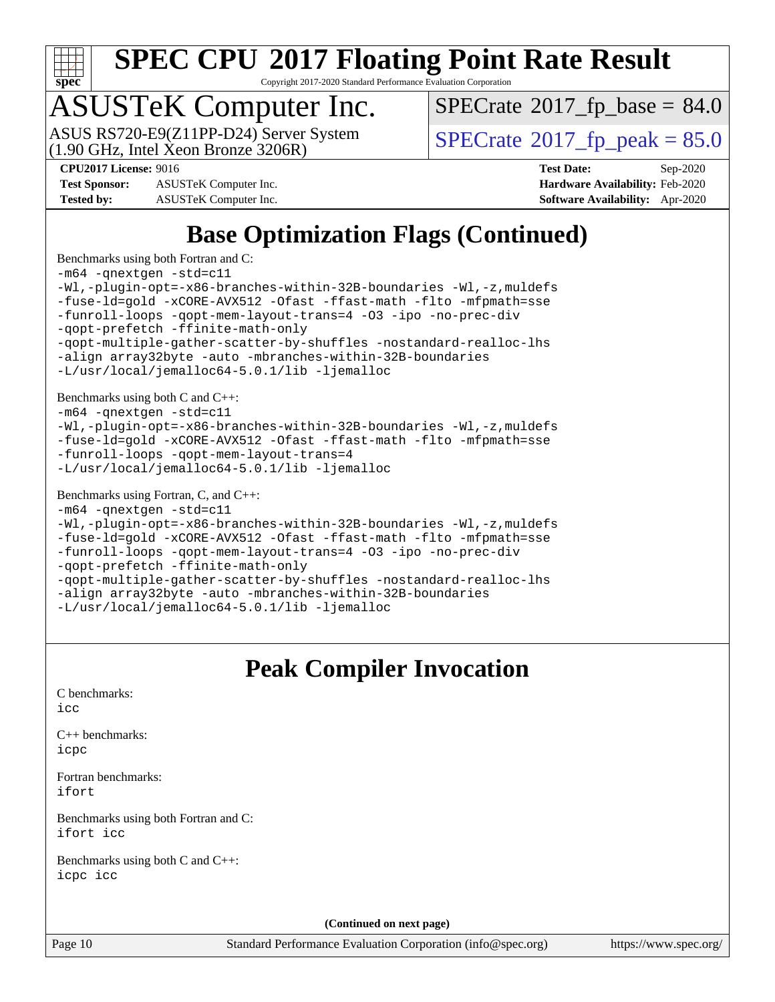

Copyright 2017-2020 Standard Performance Evaluation Corporation

## ASUSTeK Computer Inc.

(1.90 GHz, Intel Xeon Bronze 3206R) ASUS RS720-E9(Z11PP-D24) Server System  $\vert$  [SPECrate](http://www.spec.org/auto/cpu2017/Docs/result-fields.html#SPECrate2017fppeak)®[2017\\_fp\\_peak = 8](http://www.spec.org/auto/cpu2017/Docs/result-fields.html#SPECrate2017fppeak)5.0

 $SPECTate@2017_fp\_base = 84.0$ 

**[Test Sponsor:](http://www.spec.org/auto/cpu2017/Docs/result-fields.html#TestSponsor)** ASUSTeK Computer Inc. **[Hardware Availability:](http://www.spec.org/auto/cpu2017/Docs/result-fields.html#HardwareAvailability)** Feb-2020 **[Tested by:](http://www.spec.org/auto/cpu2017/Docs/result-fields.html#Testedby)** ASUSTeK Computer Inc. **[Software Availability:](http://www.spec.org/auto/cpu2017/Docs/result-fields.html#SoftwareAvailability)** Apr-2020

**[CPU2017 License:](http://www.spec.org/auto/cpu2017/Docs/result-fields.html#CPU2017License)** 9016 **[Test Date:](http://www.spec.org/auto/cpu2017/Docs/result-fields.html#TestDate)** Sep-2020

#### **[Base Optimization Flags \(Continued\)](http://www.spec.org/auto/cpu2017/Docs/result-fields.html#BaseOptimizationFlags)**

[Benchmarks using both Fortran and C](http://www.spec.org/auto/cpu2017/Docs/result-fields.html#BenchmarksusingbothFortranandC): [-m64](http://www.spec.org/cpu2017/results/res2020q4/cpu2017-20200925-24015.flags.html#user_CC_FCbase_m64-icc) [-qnextgen](http://www.spec.org/cpu2017/results/res2020q4/cpu2017-20200925-24015.flags.html#user_CC_FCbase_f-qnextgen) [-std=c11](http://www.spec.org/cpu2017/results/res2020q4/cpu2017-20200925-24015.flags.html#user_CC_FCbase_std-icc-std_0e1c27790398a4642dfca32ffe6c27b5796f9c2d2676156f2e42c9c44eaad0c049b1cdb667a270c34d979996257aeb8fc440bfb01818dbc9357bd9d174cb8524) [-Wl,-plugin-opt=-x86-branches-within-32B-boundaries](http://www.spec.org/cpu2017/results/res2020q4/cpu2017-20200925-24015.flags.html#user_CC_FCbase_f-x86-branches-within-32B-boundaries_0098b4e4317ae60947b7b728078a624952a08ac37a3c797dfb4ffeb399e0c61a9dd0f2f44ce917e9361fb9076ccb15e7824594512dd315205382d84209e912f3) [-Wl,-z,muldefs](http://www.spec.org/cpu2017/results/res2020q4/cpu2017-20200925-24015.flags.html#user_CC_FCbase_link_force_multiple1_b4cbdb97b34bdee9ceefcfe54f4c8ea74255f0b02a4b23e853cdb0e18eb4525ac79b5a88067c842dd0ee6996c24547a27a4b99331201badda8798ef8a743f577) [-fuse-ld=gold](http://www.spec.org/cpu2017/results/res2020q4/cpu2017-20200925-24015.flags.html#user_CC_FCbase_f-fuse-ld_920b3586e2b8c6e0748b9c84fa9b744736ba725a32cab14ad8f3d4ad28eecb2f59d1144823d2e17006539a88734fe1fc08fc3035f7676166309105a78aaabc32) [-xCORE-AVX512](http://www.spec.org/cpu2017/results/res2020q4/cpu2017-20200925-24015.flags.html#user_CC_FCbase_f-xCORE-AVX512) [-Ofast](http://www.spec.org/cpu2017/results/res2020q4/cpu2017-20200925-24015.flags.html#user_CC_FCbase_f-Ofast) [-ffast-math](http://www.spec.org/cpu2017/results/res2020q4/cpu2017-20200925-24015.flags.html#user_CC_FCbase_f-ffast-math) [-flto](http://www.spec.org/cpu2017/results/res2020q4/cpu2017-20200925-24015.flags.html#user_CC_FCbase_f-flto) [-mfpmath=sse](http://www.spec.org/cpu2017/results/res2020q4/cpu2017-20200925-24015.flags.html#user_CC_FCbase_f-mfpmath_70eb8fac26bde974f8ab713bc9086c5621c0b8d2f6c86f38af0bd7062540daf19db5f3a066d8c6684be05d84c9b6322eb3b5be6619d967835195b93d6c02afa1) [-funroll-loops](http://www.spec.org/cpu2017/results/res2020q4/cpu2017-20200925-24015.flags.html#user_CC_FCbase_f-funroll-loops) [-qopt-mem-layout-trans=4](http://www.spec.org/cpu2017/results/res2020q4/cpu2017-20200925-24015.flags.html#user_CC_FCbase_f-qopt-mem-layout-trans_fa39e755916c150a61361b7846f310bcdf6f04e385ef281cadf3647acec3f0ae266d1a1d22d972a7087a248fd4e6ca390a3634700869573d231a252c784941a8) [-O3](http://www.spec.org/cpu2017/results/res2020q4/cpu2017-20200925-24015.flags.html#user_CC_FCbase_f-O3) [-ipo](http://www.spec.org/cpu2017/results/res2020q4/cpu2017-20200925-24015.flags.html#user_CC_FCbase_f-ipo) [-no-prec-div](http://www.spec.org/cpu2017/results/res2020q4/cpu2017-20200925-24015.flags.html#user_CC_FCbase_f-no-prec-div) [-qopt-prefetch](http://www.spec.org/cpu2017/results/res2020q4/cpu2017-20200925-24015.flags.html#user_CC_FCbase_f-qopt-prefetch) [-ffinite-math-only](http://www.spec.org/cpu2017/results/res2020q4/cpu2017-20200925-24015.flags.html#user_CC_FCbase_f_finite_math_only_cb91587bd2077682c4b38af759c288ed7c732db004271a9512da14a4f8007909a5f1427ecbf1a0fb78ff2a814402c6114ac565ca162485bbcae155b5e4258871) [-qopt-multiple-gather-scatter-by-shuffles](http://www.spec.org/cpu2017/results/res2020q4/cpu2017-20200925-24015.flags.html#user_CC_FCbase_f-qopt-multiple-gather-scatter-by-shuffles) [-nostandard-realloc-lhs](http://www.spec.org/cpu2017/results/res2020q4/cpu2017-20200925-24015.flags.html#user_CC_FCbase_f_2003_std_realloc_82b4557e90729c0f113870c07e44d33d6f5a304b4f63d4c15d2d0f1fab99f5daaed73bdb9275d9ae411527f28b936061aa8b9c8f2d63842963b95c9dd6426b8a) [-align array32byte](http://www.spec.org/cpu2017/results/res2020q4/cpu2017-20200925-24015.flags.html#user_CC_FCbase_align_array32byte_b982fe038af199962ba9a80c053b8342c548c85b40b8e86eb3cc33dee0d7986a4af373ac2d51c3f7cf710a18d62fdce2948f201cd044323541f22fc0fffc51b6) [-auto](http://www.spec.org/cpu2017/results/res2020q4/cpu2017-20200925-24015.flags.html#user_CC_FCbase_f-auto) [-mbranches-within-32B-boundaries](http://www.spec.org/cpu2017/results/res2020q4/cpu2017-20200925-24015.flags.html#user_CC_FCbase_f-mbranches-within-32B-boundaries) [-L/usr/local/jemalloc64-5.0.1/lib](http://www.spec.org/cpu2017/results/res2020q4/cpu2017-20200925-24015.flags.html#user_CC_FCbase_jemalloc_link_path64_1_cc289568b1a6c0fd3b62c91b824c27fcb5af5e8098e6ad028160d21144ef1b8aef3170d2acf0bee98a8da324cfe4f67d0a3d0c4cc4673d993d694dc2a0df248b) [-ljemalloc](http://www.spec.org/cpu2017/results/res2020q4/cpu2017-20200925-24015.flags.html#user_CC_FCbase_jemalloc_link_lib_d1249b907c500fa1c0672f44f562e3d0f79738ae9e3c4a9c376d49f265a04b9c99b167ecedbf6711b3085be911c67ff61f150a17b3472be731631ba4d0471706) [Benchmarks using both C and C++](http://www.spec.org/auto/cpu2017/Docs/result-fields.html#BenchmarksusingbothCandCXX): [-m64](http://www.spec.org/cpu2017/results/res2020q4/cpu2017-20200925-24015.flags.html#user_CC_CXXbase_m64-icc) [-qnextgen](http://www.spec.org/cpu2017/results/res2020q4/cpu2017-20200925-24015.flags.html#user_CC_CXXbase_f-qnextgen) [-std=c11](http://www.spec.org/cpu2017/results/res2020q4/cpu2017-20200925-24015.flags.html#user_CC_CXXbase_std-icc-std_0e1c27790398a4642dfca32ffe6c27b5796f9c2d2676156f2e42c9c44eaad0c049b1cdb667a270c34d979996257aeb8fc440bfb01818dbc9357bd9d174cb8524) [-Wl,-plugin-opt=-x86-branches-within-32B-boundaries](http://www.spec.org/cpu2017/results/res2020q4/cpu2017-20200925-24015.flags.html#user_CC_CXXbase_f-x86-branches-within-32B-boundaries_0098b4e4317ae60947b7b728078a624952a08ac37a3c797dfb4ffeb399e0c61a9dd0f2f44ce917e9361fb9076ccb15e7824594512dd315205382d84209e912f3) [-Wl,-z,muldefs](http://www.spec.org/cpu2017/results/res2020q4/cpu2017-20200925-24015.flags.html#user_CC_CXXbase_link_force_multiple1_b4cbdb97b34bdee9ceefcfe54f4c8ea74255f0b02a4b23e853cdb0e18eb4525ac79b5a88067c842dd0ee6996c24547a27a4b99331201badda8798ef8a743f577) [-fuse-ld=gold](http://www.spec.org/cpu2017/results/res2020q4/cpu2017-20200925-24015.flags.html#user_CC_CXXbase_f-fuse-ld_920b3586e2b8c6e0748b9c84fa9b744736ba725a32cab14ad8f3d4ad28eecb2f59d1144823d2e17006539a88734fe1fc08fc3035f7676166309105a78aaabc32) [-xCORE-AVX512](http://www.spec.org/cpu2017/results/res2020q4/cpu2017-20200925-24015.flags.html#user_CC_CXXbase_f-xCORE-AVX512) [-Ofast](http://www.spec.org/cpu2017/results/res2020q4/cpu2017-20200925-24015.flags.html#user_CC_CXXbase_f-Ofast) [-ffast-math](http://www.spec.org/cpu2017/results/res2020q4/cpu2017-20200925-24015.flags.html#user_CC_CXXbase_f-ffast-math) [-flto](http://www.spec.org/cpu2017/results/res2020q4/cpu2017-20200925-24015.flags.html#user_CC_CXXbase_f-flto) [-mfpmath=sse](http://www.spec.org/cpu2017/results/res2020q4/cpu2017-20200925-24015.flags.html#user_CC_CXXbase_f-mfpmath_70eb8fac26bde974f8ab713bc9086c5621c0b8d2f6c86f38af0bd7062540daf19db5f3a066d8c6684be05d84c9b6322eb3b5be6619d967835195b93d6c02afa1) [-funroll-loops](http://www.spec.org/cpu2017/results/res2020q4/cpu2017-20200925-24015.flags.html#user_CC_CXXbase_f-funroll-loops) [-qopt-mem-layout-trans=4](http://www.spec.org/cpu2017/results/res2020q4/cpu2017-20200925-24015.flags.html#user_CC_CXXbase_f-qopt-mem-layout-trans_fa39e755916c150a61361b7846f310bcdf6f04e385ef281cadf3647acec3f0ae266d1a1d22d972a7087a248fd4e6ca390a3634700869573d231a252c784941a8) [-L/usr/local/jemalloc64-5.0.1/lib](http://www.spec.org/cpu2017/results/res2020q4/cpu2017-20200925-24015.flags.html#user_CC_CXXbase_jemalloc_link_path64_1_cc289568b1a6c0fd3b62c91b824c27fcb5af5e8098e6ad028160d21144ef1b8aef3170d2acf0bee98a8da324cfe4f67d0a3d0c4cc4673d993d694dc2a0df248b) [-ljemalloc](http://www.spec.org/cpu2017/results/res2020q4/cpu2017-20200925-24015.flags.html#user_CC_CXXbase_jemalloc_link_lib_d1249b907c500fa1c0672f44f562e3d0f79738ae9e3c4a9c376d49f265a04b9c99b167ecedbf6711b3085be911c67ff61f150a17b3472be731631ba4d0471706) [Benchmarks using Fortran, C, and C++:](http://www.spec.org/auto/cpu2017/Docs/result-fields.html#BenchmarksusingFortranCandCXX) [-m64](http://www.spec.org/cpu2017/results/res2020q4/cpu2017-20200925-24015.flags.html#user_CC_CXX_FCbase_m64-icc) [-qnextgen](http://www.spec.org/cpu2017/results/res2020q4/cpu2017-20200925-24015.flags.html#user_CC_CXX_FCbase_f-qnextgen) [-std=c11](http://www.spec.org/cpu2017/results/res2020q4/cpu2017-20200925-24015.flags.html#user_CC_CXX_FCbase_std-icc-std_0e1c27790398a4642dfca32ffe6c27b5796f9c2d2676156f2e42c9c44eaad0c049b1cdb667a270c34d979996257aeb8fc440bfb01818dbc9357bd9d174cb8524) [-Wl,-plugin-opt=-x86-branches-within-32B-boundaries](http://www.spec.org/cpu2017/results/res2020q4/cpu2017-20200925-24015.flags.html#user_CC_CXX_FCbase_f-x86-branches-within-32B-boundaries_0098b4e4317ae60947b7b728078a624952a08ac37a3c797dfb4ffeb399e0c61a9dd0f2f44ce917e9361fb9076ccb15e7824594512dd315205382d84209e912f3) [-Wl,-z,muldefs](http://www.spec.org/cpu2017/results/res2020q4/cpu2017-20200925-24015.flags.html#user_CC_CXX_FCbase_link_force_multiple1_b4cbdb97b34bdee9ceefcfe54f4c8ea74255f0b02a4b23e853cdb0e18eb4525ac79b5a88067c842dd0ee6996c24547a27a4b99331201badda8798ef8a743f577) [-fuse-ld=gold](http://www.spec.org/cpu2017/results/res2020q4/cpu2017-20200925-24015.flags.html#user_CC_CXX_FCbase_f-fuse-ld_920b3586e2b8c6e0748b9c84fa9b744736ba725a32cab14ad8f3d4ad28eecb2f59d1144823d2e17006539a88734fe1fc08fc3035f7676166309105a78aaabc32) [-xCORE-AVX512](http://www.spec.org/cpu2017/results/res2020q4/cpu2017-20200925-24015.flags.html#user_CC_CXX_FCbase_f-xCORE-AVX512) [-Ofast](http://www.spec.org/cpu2017/results/res2020q4/cpu2017-20200925-24015.flags.html#user_CC_CXX_FCbase_f-Ofast) [-ffast-math](http://www.spec.org/cpu2017/results/res2020q4/cpu2017-20200925-24015.flags.html#user_CC_CXX_FCbase_f-ffast-math) [-flto](http://www.spec.org/cpu2017/results/res2020q4/cpu2017-20200925-24015.flags.html#user_CC_CXX_FCbase_f-flto) [-mfpmath=sse](http://www.spec.org/cpu2017/results/res2020q4/cpu2017-20200925-24015.flags.html#user_CC_CXX_FCbase_f-mfpmath_70eb8fac26bde974f8ab713bc9086c5621c0b8d2f6c86f38af0bd7062540daf19db5f3a066d8c6684be05d84c9b6322eb3b5be6619d967835195b93d6c02afa1) [-funroll-loops](http://www.spec.org/cpu2017/results/res2020q4/cpu2017-20200925-24015.flags.html#user_CC_CXX_FCbase_f-funroll-loops) [-qopt-mem-layout-trans=4](http://www.spec.org/cpu2017/results/res2020q4/cpu2017-20200925-24015.flags.html#user_CC_CXX_FCbase_f-qopt-mem-layout-trans_fa39e755916c150a61361b7846f310bcdf6f04e385ef281cadf3647acec3f0ae266d1a1d22d972a7087a248fd4e6ca390a3634700869573d231a252c784941a8) [-O3](http://www.spec.org/cpu2017/results/res2020q4/cpu2017-20200925-24015.flags.html#user_CC_CXX_FCbase_f-O3) [-ipo](http://www.spec.org/cpu2017/results/res2020q4/cpu2017-20200925-24015.flags.html#user_CC_CXX_FCbase_f-ipo) [-no-prec-div](http://www.spec.org/cpu2017/results/res2020q4/cpu2017-20200925-24015.flags.html#user_CC_CXX_FCbase_f-no-prec-div) [-qopt-prefetch](http://www.spec.org/cpu2017/results/res2020q4/cpu2017-20200925-24015.flags.html#user_CC_CXX_FCbase_f-qopt-prefetch) [-ffinite-math-only](http://www.spec.org/cpu2017/results/res2020q4/cpu2017-20200925-24015.flags.html#user_CC_CXX_FCbase_f_finite_math_only_cb91587bd2077682c4b38af759c288ed7c732db004271a9512da14a4f8007909a5f1427ecbf1a0fb78ff2a814402c6114ac565ca162485bbcae155b5e4258871) [-qopt-multiple-gather-scatter-by-shuffles](http://www.spec.org/cpu2017/results/res2020q4/cpu2017-20200925-24015.flags.html#user_CC_CXX_FCbase_f-qopt-multiple-gather-scatter-by-shuffles) [-nostandard-realloc-lhs](http://www.spec.org/cpu2017/results/res2020q4/cpu2017-20200925-24015.flags.html#user_CC_CXX_FCbase_f_2003_std_realloc_82b4557e90729c0f113870c07e44d33d6f5a304b4f63d4c15d2d0f1fab99f5daaed73bdb9275d9ae411527f28b936061aa8b9c8f2d63842963b95c9dd6426b8a) [-align array32byte](http://www.spec.org/cpu2017/results/res2020q4/cpu2017-20200925-24015.flags.html#user_CC_CXX_FCbase_align_array32byte_b982fe038af199962ba9a80c053b8342c548c85b40b8e86eb3cc33dee0d7986a4af373ac2d51c3f7cf710a18d62fdce2948f201cd044323541f22fc0fffc51b6) [-auto](http://www.spec.org/cpu2017/results/res2020q4/cpu2017-20200925-24015.flags.html#user_CC_CXX_FCbase_f-auto) [-mbranches-within-32B-boundaries](http://www.spec.org/cpu2017/results/res2020q4/cpu2017-20200925-24015.flags.html#user_CC_CXX_FCbase_f-mbranches-within-32B-boundaries) [-L/usr/local/jemalloc64-5.0.1/lib](http://www.spec.org/cpu2017/results/res2020q4/cpu2017-20200925-24015.flags.html#user_CC_CXX_FCbase_jemalloc_link_path64_1_cc289568b1a6c0fd3b62c91b824c27fcb5af5e8098e6ad028160d21144ef1b8aef3170d2acf0bee98a8da324cfe4f67d0a3d0c4cc4673d993d694dc2a0df248b) [-ljemalloc](http://www.spec.org/cpu2017/results/res2020q4/cpu2017-20200925-24015.flags.html#user_CC_CXX_FCbase_jemalloc_link_lib_d1249b907c500fa1c0672f44f562e3d0f79738ae9e3c4a9c376d49f265a04b9c99b167ecedbf6711b3085be911c67ff61f150a17b3472be731631ba4d0471706)

#### **[Peak Compiler Invocation](http://www.spec.org/auto/cpu2017/Docs/result-fields.html#PeakCompilerInvocation)**

| <b>Peak Compiler Invocation</b>                   |
|---------------------------------------------------|
| C benchmarks:<br>icc                              |
| $C_{++}$ benchmarks:<br>icpc                      |
| Fortran benchmarks:<br>ifort                      |
| Benchmarks using both Fortran and C:<br>ifort icc |
| Benchmarks using both C and C++:<br>icpc icc      |
| (Continued on next page)                          |

Page 10 Standard Performance Evaluation Corporation [\(info@spec.org\)](mailto:info@spec.org) <https://www.spec.org/>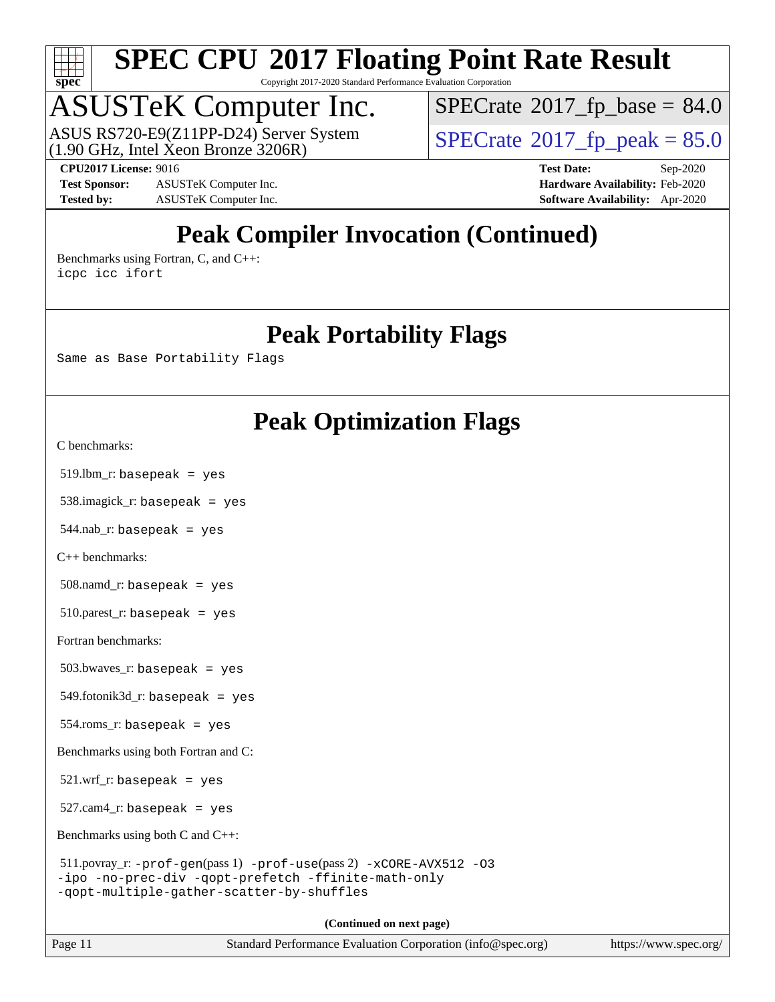

Copyright 2017-2020 Standard Performance Evaluation Corporation

## ASUSTeK Computer Inc.

(1.90 GHz, Intel Xeon Bronze 3206R) ASUS RS720-E9(Z11PP-D24) Server System  $\boxed{\text{SPECrate}^{\otimes}2017\_fp\_peak = 85.0}$  $\boxed{\text{SPECrate}^{\otimes}2017\_fp\_peak = 85.0}$  $\boxed{\text{SPECrate}^{\otimes}2017\_fp\_peak = 85.0}$ 

 $SPECTate@2017_fp\_base = 84.0$ 

**[Test Sponsor:](http://www.spec.org/auto/cpu2017/Docs/result-fields.html#TestSponsor)** ASUSTeK Computer Inc. **[Hardware Availability:](http://www.spec.org/auto/cpu2017/Docs/result-fields.html#HardwareAvailability)** Feb-2020 **[Tested by:](http://www.spec.org/auto/cpu2017/Docs/result-fields.html#Testedby)** ASUSTeK Computer Inc. **[Software Availability:](http://www.spec.org/auto/cpu2017/Docs/result-fields.html#SoftwareAvailability)** Apr-2020

**[CPU2017 License:](http://www.spec.org/auto/cpu2017/Docs/result-fields.html#CPU2017License)** 9016 **[Test Date:](http://www.spec.org/auto/cpu2017/Docs/result-fields.html#TestDate)** Sep-2020

### **[Peak Compiler Invocation \(Continued\)](http://www.spec.org/auto/cpu2017/Docs/result-fields.html#PeakCompilerInvocation)**

[Benchmarks using Fortran, C, and C++:](http://www.spec.org/auto/cpu2017/Docs/result-fields.html#BenchmarksusingFortranCandCXX) [icpc](http://www.spec.org/cpu2017/results/res2020q4/cpu2017-20200925-24015.flags.html#user_CC_CXX_FCpeak_intel_icpc_c510b6838c7f56d33e37e94d029a35b4a7bccf4766a728ee175e80a419847e808290a9b78be685c44ab727ea267ec2f070ec5dc83b407c0218cded6866a35d07) [icc](http://www.spec.org/cpu2017/results/res2020q4/cpu2017-20200925-24015.flags.html#user_CC_CXX_FCpeak_intel_icc_66fc1ee009f7361af1fbd72ca7dcefbb700085f36577c54f309893dd4ec40d12360134090235512931783d35fd58c0460139e722d5067c5574d8eaf2b3e37e92) [ifort](http://www.spec.org/cpu2017/results/res2020q4/cpu2017-20200925-24015.flags.html#user_CC_CXX_FCpeak_intel_ifort_8111460550e3ca792625aed983ce982f94888b8b503583aa7ba2b8303487b4d8a21a13e7191a45c5fd58ff318f48f9492884d4413fa793fd88dd292cad7027ca)

#### **[Peak Portability Flags](http://www.spec.org/auto/cpu2017/Docs/result-fields.html#PeakPortabilityFlags)**

Same as Base Portability Flags

#### **[Peak Optimization Flags](http://www.spec.org/auto/cpu2017/Docs/result-fields.html#PeakOptimizationFlags)**

[C benchmarks](http://www.spec.org/auto/cpu2017/Docs/result-fields.html#Cbenchmarks):

519.lbm\_r: basepeak = yes

538.imagick\_r: basepeak = yes

 $544$ .nab\_r: basepeak = yes

[C++ benchmarks:](http://www.spec.org/auto/cpu2017/Docs/result-fields.html#CXXbenchmarks)

508.namd\_r: basepeak = yes

510.parest\_r: basepeak = yes

[Fortran benchmarks](http://www.spec.org/auto/cpu2017/Docs/result-fields.html#Fortranbenchmarks):

503.bwaves\_r: basepeak = yes

 $549.$ fotonik $3d$ <sub>-</sub> $r:$  basepeak = yes

554.roms\_r: basepeak = yes

[Benchmarks using both Fortran and C](http://www.spec.org/auto/cpu2017/Docs/result-fields.html#BenchmarksusingbothFortranandC):

 $521.wrf_r$ : basepeak = yes

527.cam4\_r: basepeak = yes

[Benchmarks using both C and C++](http://www.spec.org/auto/cpu2017/Docs/result-fields.html#BenchmarksusingbothCandCXX):

```
 511.povray_r: -prof-gen(pass 1) -prof-use(pass 2) -xCORE-AVX512 -O3
-ipo -no-prec-div -qopt-prefetch -ffinite-math-only
-qopt-multiple-gather-scatter-by-shuffles
```
**(Continued on next page)**

Page 11 Standard Performance Evaluation Corporation [\(info@spec.org\)](mailto:info@spec.org) <https://www.spec.org/>